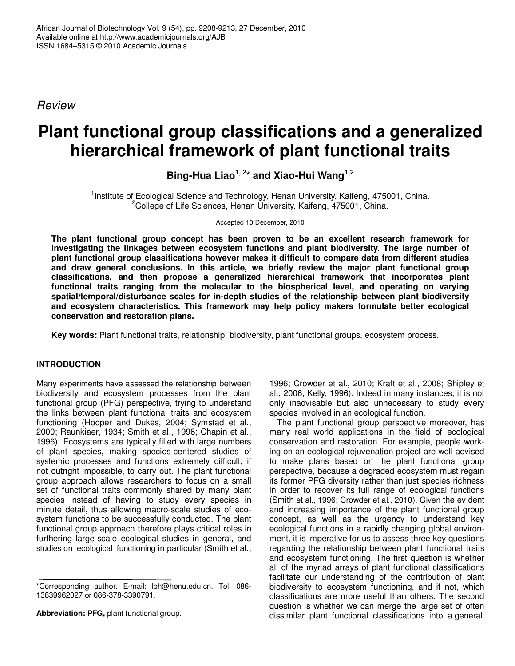*Review*

# **Plant functional group classifications and a generalized hierarchical framework of plant functional traits**

**Bing-Hua Liao 1, 2 \* and Xiao-Hui Wang 1,2**

<sup>1</sup>Institute of Ecological Science and Technology, Henan University, Kaifeng, 475001, China. <sup>2</sup>College of Life Sciences, Henan University, Kaifeng, 475001, China.

Accepted 10 December, 2010

**The plant functional group concept has been proven to be an excellent research framework for investigating the linkages between ecosystem functions and plant biodiversity. The large number of plant functional group classifications however makes it difficult to compare data from different studies and draw general conclusions. In this article, we briefly review the major plant functional group classifications, and then propose a generalized hierarchical framework that incorporates plant functional traits ranging from the molecular to the biospherical level, and operating on varying spatial/temporal/disturbance scales for in-depth studies of the relationship between plant biodiversity and ecosystem characteristics. This framework may help policy makers formulate better ecological conservation and restoration plans.**

**Key words:** Plant functional traits, relationship, biodiversity, plant functional groups, ecosystem process.

# **INTRODUCTION**

Many experiments have assessed the relationship between biodiversity and ecosystem processes from the plant functional group (PFG) perspective, trying to understand the links between plant functional traits and ecosystem functioning (Hooper and Dukes, 2004; Symstad et al., 2000; Raunkiaer, 1934; Smith et al., 1996; Chapin et al., 1996). Ecosystems are typically filled with large numbers of plant species, making species-centered studies of systemic processes and functions extremely difficult, if not outright impossible, to carry out. The plant functional group approach allows researchers to focus on a small set of functional traits commonly shared by many plant species instead of having to study every species in minute detail, thus allowing macro-scale studies of ecosystem functions to be successfully conducted. The plant functional group approach therefore plays critical roles in furthering large-scale ecological studies in general, and studies on ecological functioning in particular (Smith et al.,

**Abbreviation: PFG,** plant functional group.

1996; Crowder et al., 2010; Kraft et al., 2008; Shipley et al., 2006; Kelly, 1996). Indeed in many instances, it is not only inadvisable but also unnecessary to study every species involved in an ecological function.

The plant functional group perspective moreover, has many real world applications in the field of ecological conservation and restoration. For example, people working on an ecological rejuvenation project are well advised to make plans based on the plant functional group perspective, because a degraded ecosystem must regain its former PFG diversity rather than just species richness in order to recover its full range of ecological functions (Smith et al., 1996; Crowder et al., 2010). Given the evident and increasing importance of the plant functional group concept, as well as the urgency to understand key ecological functions in a rapidly changing global environment, it is imperative for us to assess three key questions regarding the relationship between plant functional traits and ecosystem functioning. The first question is whether all of the myriad arrays of plant functional classifications facilitate our understanding of the contribution of plant biodiversity to ecosystem functioning, and if not, which classifications are more useful than others. The second question is whether we can merge the large set of often dissimilar plant functional classifications into a general

<sup>\*</sup>Corresponding author. E-mail: lbh@henu.edu.cn. Tel: 086- 13839962027 or 086-378-3390791.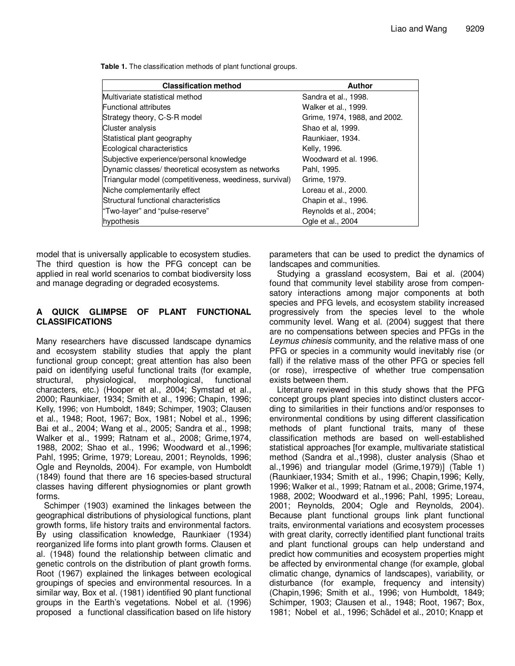**Table 1.** The classification methods of plant functional groups.

| <b>Classification method</b>                            | Author                       |
|---------------------------------------------------------|------------------------------|
| Multivariate statistical method                         | Sandra et al., 1998.         |
| <b>Functional attributes</b>                            | Walker et al., 1999.         |
| Strategy theory, C-S-R model                            | Grime, 1974, 1988, and 2002. |
| <b>Cluster analysis</b>                                 | Shao et al, 1999.            |
| Statistical plant geography                             | Raunkiaer, 1934.             |
| Ecological characteristics                              | Kelly, 1996.                 |
| Subjective experience/personal knowledge                | Woodward et al. 1996.        |
| Dynamic classes/ theoretical ecosystem as networks      | Pahl, 1995.                  |
| Triangular model (competitiveness, weediness, survival) | Grime, 1979.                 |
| Niche complementarily effect                            | Loreau et al., 2000.         |
| Structural functional characteristics                   | Chapin et al., 1996.         |
| "Two-layer" and "pulse-reserve"                         | Reynolds et al., 2004;       |
| hypothesis                                              | Ogle et al., 2004            |

model that is universally applicable to ecosystem studies. The third question is how the PFG concept can be applied in real world scenarios to combat biodiversity loss and manage degrading or degraded ecosystems.

#### **A QUICK GLIMPSE OF PLANT FUNCTIONAL CLASSIFICATIONS**

Many researchers have discussed landscape dynamics and ecosystem stability studies that apply the plant functional group concept; great attention has also been paid on identifying useful functional traits (for example, structural, physiological, morphological, functional characters, etc.) (Hooper et al., 2004; Symstad et al., 2000; Raunkiaer, 1934; Smith et al., 1996; Chapin, 1996; Kelly, 1996; von Humboldt, 1849; Schimper, 1903; Clausen et al., 1948; Root, 1967; Box, 1981; Nobel et al., 1996; Bai et al., 2004; Wang et al., 2005; Sandra et al., 1998; Walker et al., 1999; Ratnam et al., 2008; Grime,1974, 1988, 2002; Shao et al., 1996; Woodward et al.,1996; Pahl, 1995; Grime, 1979; Loreau, 2001; Reynolds, 1996; Ogle and Reynolds, 2004). For example, von Humboldt (1849) found that there are 16 species-based structural classes having different physiognomies or plant growth forms.

Schimper (1903) examined the linkages between the geographical distributions of physiological functions, plant growth forms, life history traits and environmental factors. By using classification knowledge, Raunkiaer (1934) reorganized life forms into plant growth forms. Clausen et al. (1948) found the relationship between climatic and genetic controls on the distribution of plant growth forms. Root (1967) explained the linkages between ecological groupings of species and environmental resources. In a similar way, Box et al. (1981) identified 90 plant functional groups in the Earth's vegetations. Nobel et al. (1996) proposed a functional classification based on life history parameters that can be used to predict the dynamics of landscapes and communities.

Studying a grassland ecosystem, Bai et al. (2004) found that community level stability arose from compensatory interactions among major components at both species and PFG levels, and ecosystem stability increased progressively from the species level to the whole community level. Wang et al. (2004) suggest that there are no compensations between species and PFGs in the *Leymus chinesis* community, and the relative mass of one PFG or species in a community would inevitably rise (or fall) if the relative mass of the other PFG or species fell (or rose), irrespective of whether true compensation exists between them.

Literature reviewed in this study shows that the PFG concept groups plant species into distinct clusters according to similarities in their functions and/or responses to environmental conditions by using different classification methods of plant functional traits, many of these classification methods are based on well-established statistical approaches [for example, multivariate statistical method (Sandra et al.,1998), cluster analysis (Shao et al.,1996) and triangular model (Grime,1979)] (Table 1) (Raunkiaer,1934; Smith et al., 1996; Chapin,1996; Kelly, 1996; Walker et al., 1999; Ratnam et al., 2008; Grime,1974, 1988, 2002; Woodward et al.,1996; Pahl, 1995; Loreau, 2001; Reynolds, 2004; Ogle and Reynolds, 2004). Because plant functional groups link plant functional traits, environmental variations and ecosystem processes with great clarity, correctly identified plant functional traits and plant functional groups can help understand and predict how communities and ecosystem properties might be affected by environmental change (for example, global climatic change, dynamics of landscapes), variability, or disturbance (for example, frequency and intensity) (Chapin,1996; Smith et al., 1996; von Humboldt, 1849; Schimper, 1903; Clausen et al., 1948; Root, 1967; Box, 1981; Nobel et al., 1996; Schädel et al., 2010; Knapp et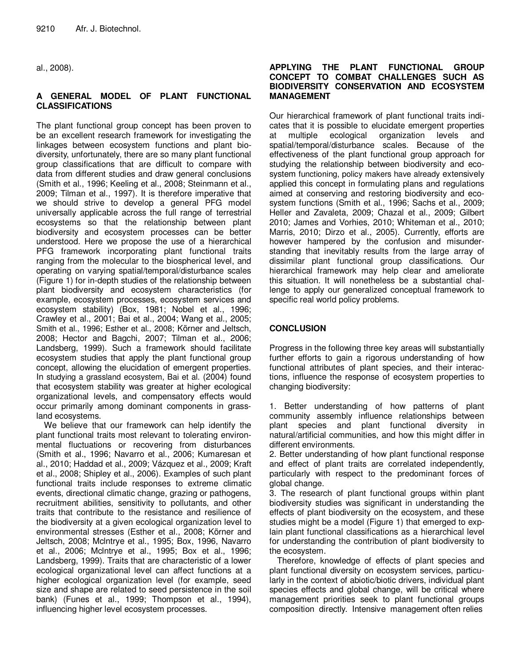al., 2008).

### **A GENERAL MODEL OF PLANT FUNCTIONAL CLASSIFICATIONS**

The plant functional group concept has been proven to be an excellent research framework for investigating the linkages between ecosystem functions and plant biodiversity, unfortunately, there are so many plant functional group classifications that are difficult to compare with data from different studies and draw general conclusions (Smith et al., 1996; Keeling et al., 2008; Steinmann et al., 2009; Tilman et al., 1997). It is therefore imperative that we should strive to develop a general PFG model universally applicable across the full range of terrestrial ecosystems so that the relationship between plant biodiversity and ecosystem processes can be better understood. Here we propose the use of a hierarchical PFG framework incorporating plant functional traits ranging from the molecular to the biospherical level, and operating on varying spatial/temporal/disturbance scales (Figure 1) for in-depth studies of the relationship between plant biodiversity and ecosystem characteristics (for example, ecosystem processes, ecosystem services and ecosystem stability) (Box, 1981; Nobel et al., 1996; Crawley et al., 2001; Bai et al., 2004; Wang et al., 2005; Smith et al., 1996; Esther et al., 2008; Körner and Jeltsch, 2008; Hector and Bagchi, 2007; Tilman et al., 2006; Landsberg, 1999). Such a framework should facilitate ecosystem studies that apply the plant functional group concept, allowing the elucidation of emergent properties. In studying a grassland ecosystem, Bai et al. (2004) found that ecosystem stability was greater at higher ecological organizational levels, and compensatory effects would occur primarily among dominant components in grassland ecosystems.

We believe that our framework can help identify the plant functional traits most relevant to tolerating environmental fluctuations or recovering from disturbances (Smith et al., 1996; Navarro et al., 2006; Kumaresan et al., 2010; Haddad et al., 2009; Vázquez et al., 2009; Kraft et al., 2008; Shipley et al., 2006). Examples of such plant functional traits include responses to extreme climatic events, directional climatic change, grazing or pathogens, recruitment abilities, sensitivity to pollutants, and other traits that contribute to the resistance and resilience of the biodiversity at a given ecological organization level to environmental stresses (Esther et al., 2008; Körner and Jeltsch, 2008; Mclntrye et al., 1995; Box, 1996, Navarro et al., 2006; Mclntrye et al., 1995; Box et al., 1996; Landsberg, 1999). Traits that are characteristic of a lower ecological organizational level can affect functions at a higher ecological organization level (for example, seed size and shape are related to seed persistence in the soil bank) (Funes et al., 1999; Thompson et al., 1994), influencing higher level ecosystem processes.

#### **APPLYING THE PLANT FUNCTIONAL GROUP CONCEPT TO COMBAT CHALLENGES SUCH AS BIODIVERSITY CONSERVATION AND ECOSYSTEM MANAGEMENT**

Our hierarchical framework of plant functional traits indicates that it is possible to elucidate emergent properties at multiple ecological organization levels and spatial/temporal/disturbance scales. Because of the effectiveness of the plant functional group approach for studying the relationship between biodiversity and ecosystem functioning, policy makers have already extensively applied this concept in formulating plans and regulations aimed at conserving and restoring biodiversity and ecosystem functions (Smith et al., 1996; Sachs et al., 2009; Heller and Zavaleta, 2009; Chazal et al., 2009; Gilbert 2010; James and Vorhies, 2010; Whiteman et al., 2010; Marris, 2010; Dirzo et al., 2005). Currently, efforts are however hampered by the confusion and misunderstanding that inevitably results from the large array of dissimilar plant functional group classifications. Our hierarchical framework may help clear and ameliorate this situation. It will nonetheless be a substantial challenge to apply our generalized conceptual framework to specific real world policy problems.

# **CONCLUSION**

Progress in the following three key areas will substantially further efforts to gain a rigorous understanding of how functional attributes of plant species, and their interactions, influence the response of ecosystem properties to changing biodiversity:

1. Better understanding of how patterns of plant community assembly influence relationships between plant species and plant functional diversity in natural/artificial communities, and how this might differ in different environments.

2. Better understanding of how plant functional response and effect of plant traits are correlated independently, particularly with respect to the predominant forces of global change.

3. The research of plant functional groups within plant biodiversity studies was significant in understanding the effects of plant biodiversity on the ecosystem, and these studies might be a model (Figure 1) that emerged to explain plant functional classifications as a hierarchical level for understanding the contribution of plant biodiversity to the ecosystem.

Therefore, knowledge of effects of plant species and plant functional diversity on ecosystem services, particularly in the context of abiotic/biotic drivers, individual plant species effects and global change, will be critical where management priorities seek to plant functional groups composition directly. Intensive management often relies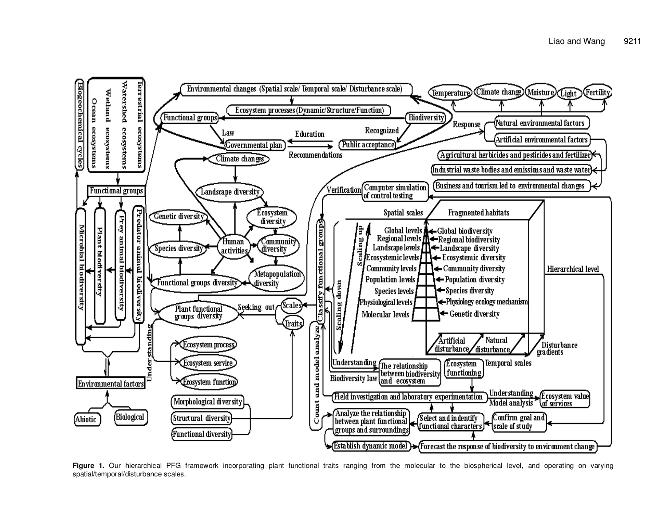

Figure 1. Our hierarchical PFG framework incorporating plant functional traits ranging from the molecular to the biospherical level, and operating on varying spatial/temporal/disturbance scales.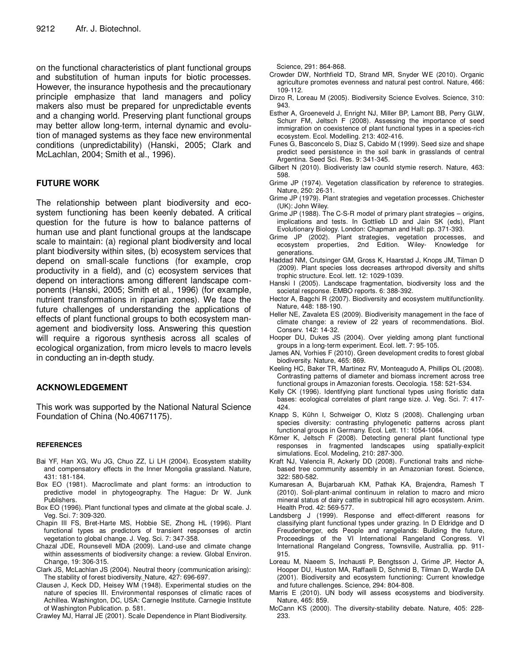on the functional characteristics of plant functional groups and substitution of human inputs for biotic processes. However, the insurance hypothesis and the precautionary principle emphasize that land managers and policy makers also must be prepared for unpredictable events and a changing world. Preserving plant functional groups may better allow long-term, internal dynamic and evolution of managed systems as they face new environmental conditions (unpredictability) (Hanski, 2005; Clark and McLachlan, 2004; Smith et al., 1996).

#### **FUTURE WORK**

The relationship between plant biodiversity and ecosystem functioning has been keenly debated. A critical question for the future is how to balance patterns of human use and plant functional groups at the landscape scale to maintain: (a) regional plant biodiversity and local plant biodiversity within sites, (b) ecosystem services that depend on small-scale functions (for example, crop productivity in a field), and (c) ecosystem services that depend on interactions among different landscape components (Hanski, 2005; Smith et al., 1996) (for example, nutrient transformations in riparian zones). We face the future challenges of understanding the applications of effects of plant functional groups to both ecosystem management and biodiversity loss. Answering this question will require a rigorous synthesis across all scales of ecological organization, from micro levels to macro levels in conducting an in-depth study.

# **ACKNOWLEDGEMENT**

This work was supported by the National Natural Science Foundation of China (No.40671175).

#### **REFERENCES**

- Bai YF, Han XG, Wu JG, Chuo ZZ, Li LH (2004). Ecosystem stability and compensatory effects in the Inner Mongolia grassland. Nature, 431: 181-184.
- Box EO (1981). Macroclimate and plant forms: an introduction to predictive model in phytogeography. The Hague: Dr W. Junk Publishers.
- Box EO (1996). Plant functional types and climate at the global scale. J. Veg. Sci. 7: 309-320.
- Chapin III FS, Bret-Harte MS, Hobbie SE, Zhong HL (1996). Plant functional types as predictors of transient responses of arctin vegetation to global change. J. Veg. Sci. 7: 347-358.
- Chazal JDE, Rounsevell MDA (2009). Land-use and climate change within assessments of biodiversity change: a review. Global Environ. Change, 19: 306-315.
- Clark JS, McLachlan JS (2004). Neutral theory (communication arising): The stability of forest biodiversity. Nature, 427: 696-697.
- Clausen J, Keck DD, Heisey WM (1948). Experimental studies on the nature of species III. Environmental responses of climatic races of Achillea. Washington, DC, USA: Carnegie Institute. Carnegie Institute of Washington Publication. p. 581.

Crawley MJ, Harral JE (2001). Scale Dependence in Plant Biodiversity.

Science, 291: 864-868.

- Crowder DW, Northfield TD, Strand MR, Snyder WE (2010). Organic agriculture promotes evenness and natural pest control. Nature, 466: 109-112.
- Dirzo R, Loreau M (2005). Biodiversity Science Evolves. Science, 310: 943.
- Esther A, Groeneveld J, Enright NJ, Miller BP, Lamont BB, Perry GLW, Schurr FM, Jeltsch F (2008). Assessing the importance of seed immigration on coexistence of plant functional types in a species-rich ecosystem. Ecol. Modelling. 213: 402-416.
- Funes G, Basconcelo S, Diaz S, Cabido M (1999). Seed size and shape predict seed persistence in the soil bank in grasslands of central Argentina. Seed Sci. Res. 9: 341-345.
- Gilbert N (2010). Biodiveristy law counld stymie reserch. Nature, 463: 598.
- Grime JP (1974). Vegetation classification by reference to strategies. Nature, 250: 26-31.
- Grime JP (1979). Plant strategies and vegetation processes. Chichester (UK): John Wiley.
- Grime JP (1988). The C-S-R model of primary plant strategies origins, implications and tests. In Gottlieb LD and Jain SK (eds), Plant Evolutionary Biology. London: Chapman and Hall: pp. 371-393.
- Grime JP (2002). Plant strategies, vegetation processes, and ecosystem properties, 2nd Edition. Wiley- Knowledge for generations.
- Haddad NM, Crutsinger GM, Gross K, Haarstad J, Knops JM, Tilman D (2009). Plant species loss decreases arthropod diversity and shifts trophic structure. Ecol. lett. 12: 1029-1039.
- Hanski I (2005). Landscape fragmentation, biodiversity loss and the societal response. EMBO reports. 6: 388-392.
- Hector A, Bagchi R (2007). Biodiversity and ecosystem multifunctionlity. Nature, 448: 188-190.
- Heller NE, Zavaleta ES (2009). Biodiverisity management in the face of climate change: a review of 22 years of recommendations. Biol. Conserv. 142: 14-32.
- Hooper DU, Dukes JS (2004). Over yielding among plant functional groups in a long-term experiment. Ecol. lett. 7: 95-105.
- James AN, Vorhies F (2010). Green development credits to forest global biodiversity. Nature, 465: 869.
- Keeling HC, Baker TR, Martinez RV, Monteagudo A, Phillips OL (2008). Contrasting patterns of diameter and biomass increment across tree functional groups in Amazonian forests. Oecologia. 158: 521-534.
- Kelly CK (1996). Identifying plant functional types using floristic data bases: ecological correlates of plant range size. J. Veg. Sci. 7: 417- 424.
- Knapp S, Kühn I, Schweiger O, Klotz S (2008). Challenging urban species diversity: contrasting phylogenetic patterns across plant functional groups in Germany. Ecol. Lett. 11: 1054-1064.
- Körner K, Jeltsch F (2008). Detecting general plant functional type responses in fragmented landscapes using spatially-explicit simulations. Ecol. Modeling, 210: 287-300.
- Kraft NJ, Valencia R, Ackerly DD (2008). Functional traits and nichebased tree community assembly in an Amazonian forest. Science, 322: 580-582.
- Kumaresan A, Bujarbaruah KM, Pathak KA, Brajendra, Ramesh T (2010). Soil-plant-animal continuum in relation to macro and micro mineral status of dairy cattle in subtropical hill agro ecosystem. Anim. Health Prod. 42: 569-577.
- Landsberg J (1999). Response and effect-different reasons for classifying plant functional types under grazing. In D Eldridge and D Freudenberger, eds People and rangelands: Building the future, Proceedings of the VI International Rangeland Congress. VI International Rangeland Congress, Townsville, Australlia. pp. 911- 915.
- Loreau M, Naeem S, Inchausti P, Bengtsson J, Grime JP, Hector A, Hooper DU, Huston MA, Raffaelli D, Schmid B, Tilman D, Wardle DA (2001). Biodiversity and ecosystem functioning: Current knowledge and future challenges. Science, 294: 804-808.
- Marris E (2010). UN body will assess ecosystems and biodiversity. Nature, 465: 859.
- McCann KS (2000). The diversity-stability debate. Nature, 405: 228- 233.